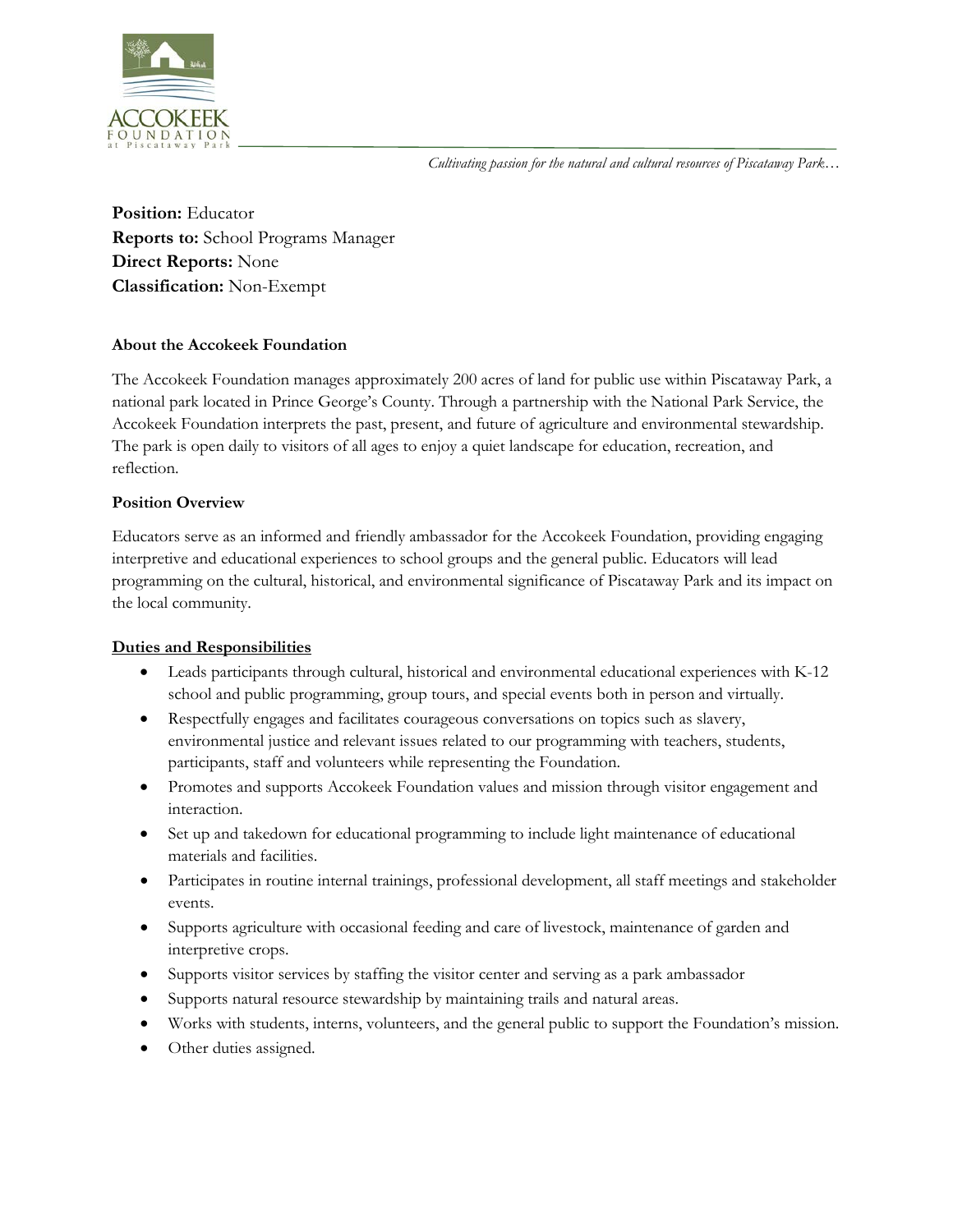*Cultivating passion for the natural and cultural resources of Piscataway Park…*



**Position:** Educator **Reports to:** School Programs Manager **Direct Reports:** None **Classification:** Non-Exempt

# **About the Accokeek Foundation**

The Accokeek Foundation manages approximately 200 acres of land for public use within Piscataway Park, a national park located in Prince George's County. Through a partnership with the National Park Service, the Accokeek Foundation interprets the past, present, and future of agriculture and environmental stewardship. The park is open daily to visitors of all ages to enjoy a quiet landscape for education, recreation, and reflection.

# **Position Overview**

Educators serve as an informed and friendly ambassador for the Accokeek Foundation, providing engaging interpretive and educational experiences to school groups and the general public. Educators will lead programming on the cultural, historical, and environmental significance of Piscataway Park and its impact on the local community.

## **Duties and Responsibilities**

- Leads participants through cultural, historical and environmental educational experiences with K-12 school and public programming, group tours, and special events both in person and virtually.
- Respectfully engages and facilitates courageous conversations on topics such as slavery, environmental justice and relevant issues related to our programming with teachers, students, participants, staff and volunteers while representing the Foundation.
- Promotes and supports Accokeek Foundation values and mission through visitor engagement and interaction.
- Set up and takedown for educational programming to include light maintenance of educational materials and facilities.
- Participates in routine internal trainings, professional development, all staff meetings and stakeholder events.
- Supports agriculture with occasional feeding and care of livestock, maintenance of garden and interpretive crops.
- Supports visitor services by staffing the visitor center and serving as a park ambassador
- Supports natural resource stewardship by maintaining trails and natural areas.
- Works with students, interns, volunteers, and the general public to support the Foundation's mission.
- Other duties assigned.